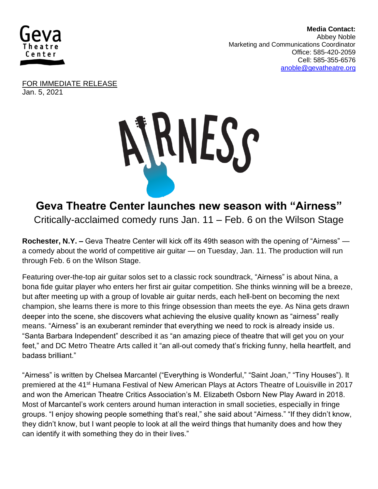

 **Media Contact:**  Abbey Noble **Marketing and Communications Coordinator** Office: 585-420-2059 Cell: 585-355-6576 [anoble@gevatheatre.org](mailto:anoble@gevatheatre.org)

FOR IMMEDIATE RELEASE Jan. 5, 2021



## **Geva Theatre Center launches new season with "Airness"** Critically-acclaimed comedy runs Jan. 11 – Feb. 6 on the Wilson Stage

**Rochester, N.Y. –** Geva Theatre Center will kick off its 49th season with the opening of "Airness" a comedy about the world of competitive air guitar — on Tuesday, Jan. 11. The production will run through Feb. 6 on the Wilson Stage.

Featuring over-the-top air guitar solos set to a classic rock soundtrack, "Airness" is about Nina, a bona fide guitar player who enters her first air guitar competition. She thinks winning will be a breeze, but after meeting up with a group of lovable air guitar nerds, each hell-bent on becoming the next champion, she learns there is more to this fringe obsession than meets the eye. As Nina gets drawn deeper into the scene, she discovers what achieving the elusive quality known as "airness" really means. "Airness" is an exuberant reminder that everything we need to rock is already inside us. "Santa Barbara Independent" described it as "an amazing piece of theatre that will get you on your feet," and DC Metro Theatre Arts called it "an all-out comedy that's fricking funny, hella heartfelt, and badass brilliant."

"Airness" is written by Chelsea Marcantel ("Everything is Wonderful," "Saint Joan," "Tiny Houses"). It premiered at the 41<sup>st</sup> Humana Festival of New American Plays at Actors Theatre of Louisville in 2017 and won the American Theatre Critics Association's M. Elizabeth Osborn New Play Award in 2018. Most of Marcantel's work centers around human interaction in small societies, especially in fringe groups. "I enjoy showing people something that's real," she said about "Airness." "If they didn't know, they didn't know, but I want people to look at all the weird things that humanity does and how they can identify it with something they do in their lives."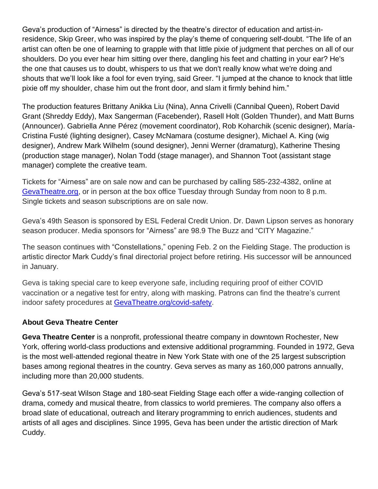Geva's production of "Airness" is directed by the theatre's director of education and artist-inresidence, Skip Greer, who was inspired by the play's theme of conquering self-doubt. "The life of an artist can often be one of learning to grapple with that little pixie of judgment that perches on all of our shoulders. Do you ever hear him sitting over there, dangling his feet and chatting in your ear? He's the one that causes us to doubt, whispers to us that we don't really know what we're doing and shouts that we'll look like a fool for even trying, said Greer. "I jumped at the chance to knock that little pixie off my shoulder, chase him out the front door, and slam it firmly behind him."

The production features Brittany Anikka Liu (Nina), Anna Crivelli (Cannibal Queen), Robert David Grant (Shreddy Eddy), Max Sangerman (Facebender), Rasell Holt (Golden Thunder), and Matt Burns (Announcer). Gabriella Anne Pérez (movement coordinator), Rob Koharchik (scenic designer), María-Cristina Fusté (lighting designer), Casey McNamara (costume designer), Michael A. King (wig designer), Andrew Mark Wilhelm (sound designer), Jenni Werner (dramaturg), Katherine Thesing (production stage manager), Nolan Todd (stage manager), and Shannon Toot (assistant stage manager) complete the creative team.

Tickets for "Airness" are on sale now and can be purchased by calling 585-232-4382, online at [GevaTheatre.org,](https://gevatheatre.org/) or in person at the box office Tuesday through Sunday from noon to 8 p.m. Single tickets and season subscriptions are on sale now.

Geva's 49th Season is sponsored by ESL Federal Credit Union. Dr. Dawn Lipson serves as honorary season producer. Media sponsors for "Airness" are 98.9 The Buzz and "CITY Magazine."

The season continues with "Constellations," opening Feb. 2 on the Fielding Stage. The production is artistic director Mark Cuddy's final directorial project before retiring. His successor will be announced in January.

Geva is taking special care to keep everyone safe, including requiring proof of either COVID vaccination or a negative test for entry, along with masking. Patrons can find the theatre's current indoor safety procedures at [GevaTheatre.org/covid-safety.](https://gevatheatre.org/covid-safety/)

## **About Geva Theatre Center**

**Geva Theatre Center** is a nonprofit, professional theatre company in downtown Rochester, New York, offering world-class productions and extensive additional programming. Founded in 1972, Geva is the most well-attended regional theatre in New York State with one of the 25 largest subscription bases among regional theatres in the country. Geva serves as many as 160,000 patrons annually, including more than 20,000 students.

Geva's 517-seat Wilson Stage and 180-seat Fielding Stage each offer a wide-ranging collection of drama, comedy and musical theatre, from classics to world premieres. The company also offers a broad slate of educational, outreach and literary programming to enrich audiences, students and artists of all ages and disciplines. Since 1995, Geva has been under the artistic direction of Mark Cuddy.